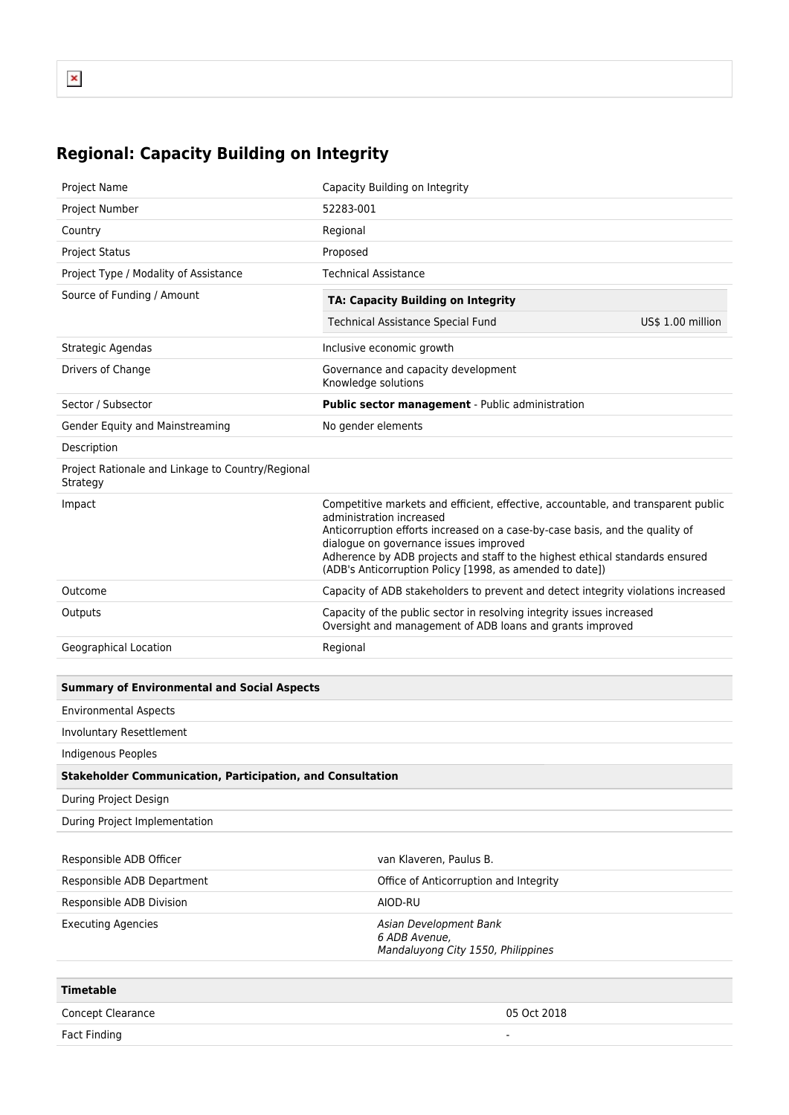## **Regional: Capacity Building on Integrity**

| Project Name                                                      | Capacity Building on Integrity                                                                                                                                                                                                                                                                                                                                                      |                   |  |
|-------------------------------------------------------------------|-------------------------------------------------------------------------------------------------------------------------------------------------------------------------------------------------------------------------------------------------------------------------------------------------------------------------------------------------------------------------------------|-------------------|--|
| Project Number                                                    | 52283-001                                                                                                                                                                                                                                                                                                                                                                           |                   |  |
| Country                                                           | Regional                                                                                                                                                                                                                                                                                                                                                                            |                   |  |
| <b>Project Status</b>                                             | Proposed                                                                                                                                                                                                                                                                                                                                                                            |                   |  |
| Project Type / Modality of Assistance                             | Technical Assistance                                                                                                                                                                                                                                                                                                                                                                |                   |  |
| Source of Funding / Amount                                        | <b>TA: Capacity Building on Integrity</b>                                                                                                                                                                                                                                                                                                                                           |                   |  |
|                                                                   | <b>Technical Assistance Special Fund</b>                                                                                                                                                                                                                                                                                                                                            | US\$ 1.00 million |  |
| Strategic Agendas                                                 | Inclusive economic growth                                                                                                                                                                                                                                                                                                                                                           |                   |  |
| Drivers of Change                                                 | Governance and capacity development<br>Knowledge solutions                                                                                                                                                                                                                                                                                                                          |                   |  |
| Sector / Subsector                                                | Public sector management - Public administration                                                                                                                                                                                                                                                                                                                                    |                   |  |
| Gender Equity and Mainstreaming                                   | No gender elements                                                                                                                                                                                                                                                                                                                                                                  |                   |  |
| Description                                                       |                                                                                                                                                                                                                                                                                                                                                                                     |                   |  |
| Project Rationale and Linkage to Country/Regional<br>Strategy     |                                                                                                                                                                                                                                                                                                                                                                                     |                   |  |
| Impact                                                            | Competitive markets and efficient, effective, accountable, and transparent public<br>administration increased<br>Anticorruption efforts increased on a case-by-case basis, and the quality of<br>dialogue on governance issues improved<br>Adherence by ADB projects and staff to the highest ethical standards ensured<br>(ADB's Anticorruption Policy [1998, as amended to date]) |                   |  |
| Outcome                                                           | Capacity of ADB stakeholders to prevent and detect integrity violations increased                                                                                                                                                                                                                                                                                                   |                   |  |
| Outputs                                                           | Capacity of the public sector in resolving integrity issues increased<br>Oversight and management of ADB loans and grants improved                                                                                                                                                                                                                                                  |                   |  |
| Geographical Location                                             | Regional                                                                                                                                                                                                                                                                                                                                                                            |                   |  |
|                                                                   |                                                                                                                                                                                                                                                                                                                                                                                     |                   |  |
| <b>Summary of Environmental and Social Aspects</b>                |                                                                                                                                                                                                                                                                                                                                                                                     |                   |  |
| <b>Environmental Aspects</b>                                      |                                                                                                                                                                                                                                                                                                                                                                                     |                   |  |
| Involuntary Resettlement                                          |                                                                                                                                                                                                                                                                                                                                                                                     |                   |  |
| <b>Indigenous Peoples</b>                                         |                                                                                                                                                                                                                                                                                                                                                                                     |                   |  |
| <b>Stakeholder Communication, Participation, and Consultation</b> |                                                                                                                                                                                                                                                                                                                                                                                     |                   |  |
| During Project Design                                             |                                                                                                                                                                                                                                                                                                                                                                                     |                   |  |
| During Project Implementation                                     |                                                                                                                                                                                                                                                                                                                                                                                     |                   |  |
|                                                                   |                                                                                                                                                                                                                                                                                                                                                                                     |                   |  |
| Responsible ADB Officer                                           | van Klaveren, Paulus B.                                                                                                                                                                                                                                                                                                                                                             |                   |  |
| Responsible ADB Department                                        | Office of Anticorruption and Integrity                                                                                                                                                                                                                                                                                                                                              |                   |  |
| Responsible ADB Division                                          | AIOD-RU                                                                                                                                                                                                                                                                                                                                                                             |                   |  |
| <b>Executing Agencies</b>                                         | Asian Development Bank<br>6 ADB Avenue,<br>Mandaluyong City 1550, Philippines                                                                                                                                                                                                                                                                                                       |                   |  |
| <b>Timetable</b>                                                  |                                                                                                                                                                                                                                                                                                                                                                                     |                   |  |

| <b>Concept Clearance</b> | 05 Oct 2018              |
|--------------------------|--------------------------|
| Fact Finding             | $\overline{\phantom{a}}$ |